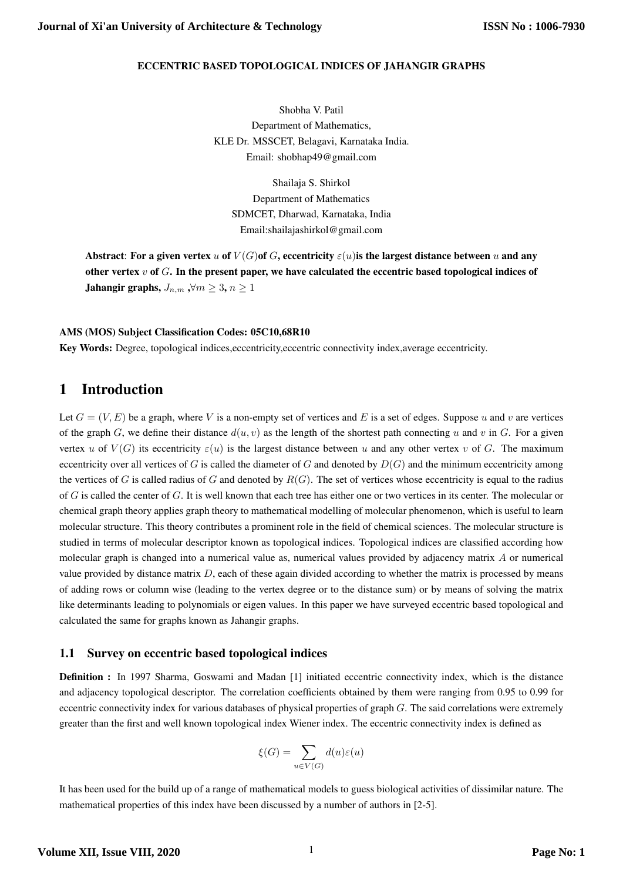### ECCENTRIC BASED TOPOLOGICAL INDICES OF JAHANGIR GRAPHS

Shobha V. Patil Department of Mathematics, KLE Dr. MSSCET, Belagavi, Karnataka India. Email: shobhap49@gmail.com

Shailaja S. Shirkol Department of Mathematics SDMCET, Dharwad, Karnataka, India Email:shailajashirkol@gmail.com

Abstract: For a given vertex u of  $V(G)$  of G, eccentricity  $\varepsilon(u)$  is the largest distance between u and any other vertex  $v$  of  $G$ . In the present paper, we have calculated the eccentric based topological indices of Jahangir graphs,  $J_{n,m}$ , $\forall m \geq 3, n \geq 1$ 

### AMS (MOS) Subject Classification Codes: 05C10,68R10

Key Words: Degree, topological indices,eccentricity,eccentric connectivity index,average eccentricity.

# 1 Introduction

Let  $G = (V, E)$  be a graph, where V is a non-empty set of vertices and E is a set of edges. Suppose u and v are vertices of the graph G, we define their distance  $d(u, v)$  as the length of the shortest path connecting u and v in G. For a given vertex u of  $V(G)$  its eccentricity  $\varepsilon(u)$  is the largest distance between u and any other vertex v of G. The maximum eccentricity over all vertices of G is called the diameter of G and denoted by  $D(G)$  and the minimum eccentricity among the vertices of G is called radius of G and denoted by  $R(G)$ . The set of vertices whose eccentricity is equal to the radius of  $G$  is called the center of  $G$ . It is well known that each tree has either one or two vertices in its center. The molecular or chemical graph theory applies graph theory to mathematical modelling of molecular phenomenon, which is useful to learn molecular structure. This theory contributes a prominent role in the field of chemical sciences. The molecular structure is studied in terms of molecular descriptor known as topological indices. Topological indices are classified according how molecular graph is changed into a numerical value as, numerical values provided by adjacency matrix  $A$  or numerical value provided by distance matrix D, each of these again divided according to whether the matrix is processed by means of adding rows or column wise (leading to the vertex degree or to the distance sum) or by means of solving the matrix like determinants leading to polynomials or eigen values. In this paper we have surveyed eccentric based topological and calculated the same for graphs known as Jahangir graphs.

### 1.1 Survey on eccentric based topological indices

Definition : In 1997 Sharma, Goswami and Madan [1] initiated eccentric connectivity index, which is the distance and adjacency topological descriptor. The correlation coefficients obtained by them were ranging from 0.95 to 0.99 for eccentric connectivity index for various databases of physical properties of graph  $G$ . The said correlations were extremely greater than the first and well known topological index Wiener index. The eccentric connectivity index is defined as

$$
\xi(G)=\sum_{u\in V(G)}d(u)\varepsilon(u)
$$

It has been used for the build up of a range of mathematical models to guess biological activities of dissimilar nature. The mathematical properties of this index have been discussed by a number of authors in [2-5].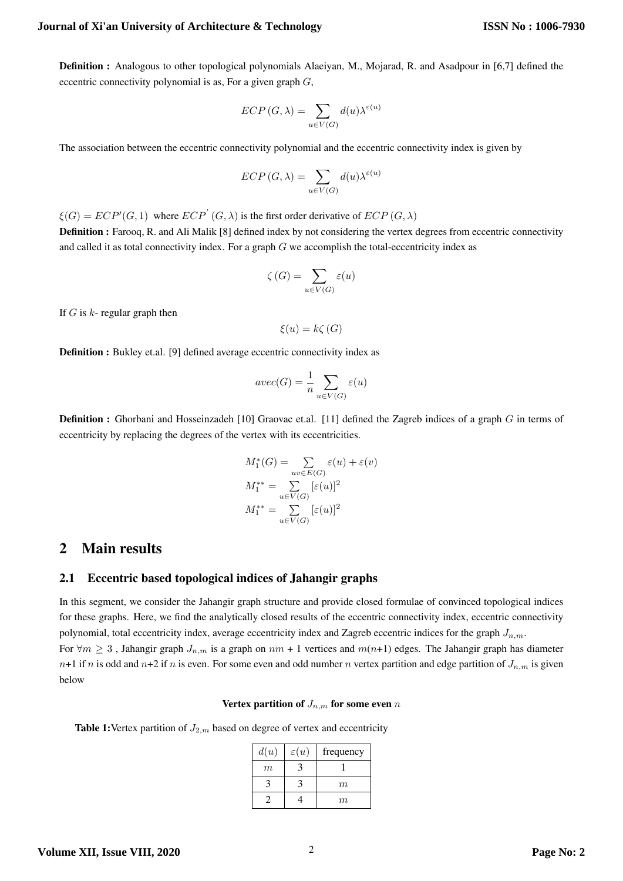Definition : Analogous to other topological polynomials Alaeiyan, M., Mojarad, R. and Asadpour in [6,7] defined the eccentric connectivity polynomial is as, For a given graph  $G$ ,

$$
ECP(G, \lambda) = \sum_{u \in V(G)} d(u)\lambda^{\varepsilon(u)}
$$

The association between the eccentric connectivity polynomial and the eccentric connectivity index is given by

$$
ECP(G,\lambda)=\sum_{u\in V(G)}d(u)\lambda^{\varepsilon(u)}
$$

 $\xi(G) = ECP'(G, 1)$  where  $ECP'(G, \lambda)$  is the first order derivative of  $ECP(G, \lambda)$ 

Definition : Farooq, R. and Ali Malik [8] defined index by not considering the vertex degrees from eccentric connectivity and called it as total connectivity index. For a graph G we accomplish the total-eccentricity index as

$$
\zeta(G) = \sum_{u \in V(G)} \varepsilon(u)
$$

If  $G$  is  $k$ - regular graph then

 $\xi(u) = k\zeta(G)$ 

Definition : Bukley et.al. [9] defined average eccentric connectivity index as

$$
avec(G) = \frac{1}{n} \sum_{u \in V(G)} \varepsilon(u)
$$

Definition : Ghorbani and Hosseinzadeh [10] Graovac et.al. [11] defined the Zagreb indices of a graph G in terms of eccentricity by replacing the degrees of the vertex with its eccentricities.

$$
M_1^*(G) = \sum_{uv \in E(G)} \varepsilon(u) + \varepsilon(v)
$$
  
\n
$$
M_1^{**} = \sum_{u \in V(G)} [\varepsilon(u)]^2
$$
  
\n
$$
M_1^{**} = \sum_{u \in V(G)} [\varepsilon(u)]^2
$$

# 2 Main results

### 2.1 Eccentric based topological indices of Jahangir graphs

In this segment, we consider the Jahangir graph structure and provide closed formulae of convinced topological indices for these graphs. Here, we find the analytically closed results of the eccentric connectivity index, eccentric connectivity polynomial, total eccentricity index, average eccentricity index and Zagreb eccentric indices for the graph  $J_{n,m}$ .

For  $\forall m \geq 3$ , Jahangir graph  $J_{n,m}$  is a graph on  $nm + 1$  vertices and  $m(n+1)$  edges. The Jahangir graph has diameter  $n+1$  if n is odd and  $n+2$  if n is even. For some even and odd number n vertex partition and edge partition of  $J_{n,m}$  is given below

#### Vertex partition of  $J_{n,m}$  for some even n

**Table 1:** Vertex partition of  $J_{2,m}$  based on degree of vertex and eccentricity

| d(u) | $\varepsilon(u)$ | frequency |
|------|------------------|-----------|
| m    |                  |           |
|      |                  | m         |
|      |                  | m         |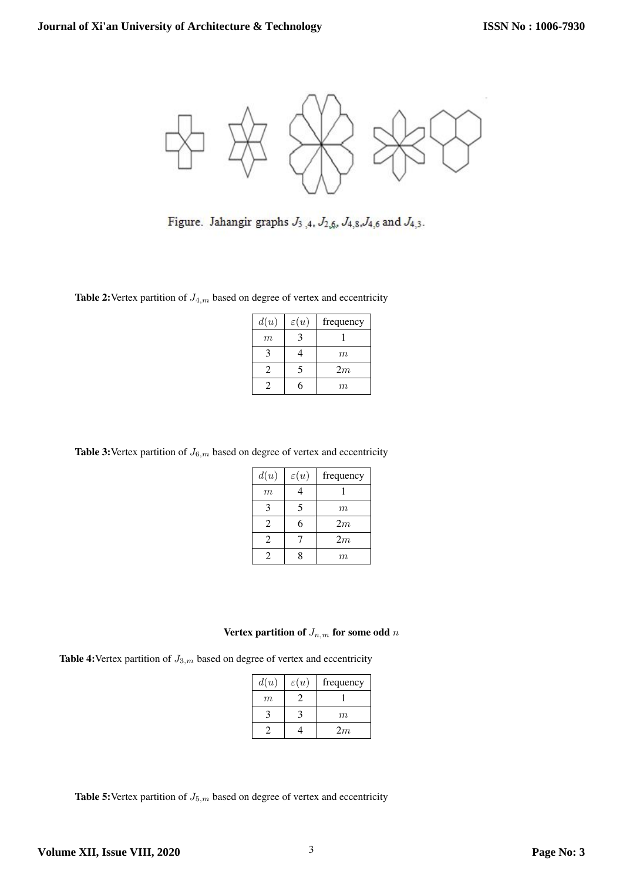

Figure. Jahangir graphs  $J_3$ , 4,  $J_{2,6}$ ,  $J_{4,8}$ ,  $J_{4,6}$  and  $J_{4,3}$ .

**Table 2:** Vertex partition of  $J_{4,m}$  based on degree of vertex and eccentricity

| d(u) | $\varepsilon(u)$ | frequency |
|------|------------------|-----------|
| m    |                  |           |
|      |                  | m         |
| 2    |                  | 2m        |
|      |                  | m         |

**Table 3:** Vertex partition of  $J_{6,m}$  based on degree of vertex and eccentricity

| d(u)             | $\varepsilon(u)$ | frequency |
|------------------|------------------|-----------|
| $\boldsymbol{m}$ | 4                |           |
| 3                | 5                | m         |
| 2                | 6                | 2m        |
| $\mathfrak{D}$   |                  | 2m        |
| 2                | ႙                | m         |

## Vertex partition of  $J_{n,m}$  for some odd  $n$

**Table 4:** Vertex partition of  $J_{3,m}$  based on degree of vertex and eccentricity

| d(u) | $\varepsilon(u)$ | frequency |
|------|------------------|-----------|
| m    |                  |           |
|      | 3                | m         |
|      |                  | 2m        |

**Table 5:** Vertex partition of  $J_{5,m}$  based on degree of vertex and eccentricity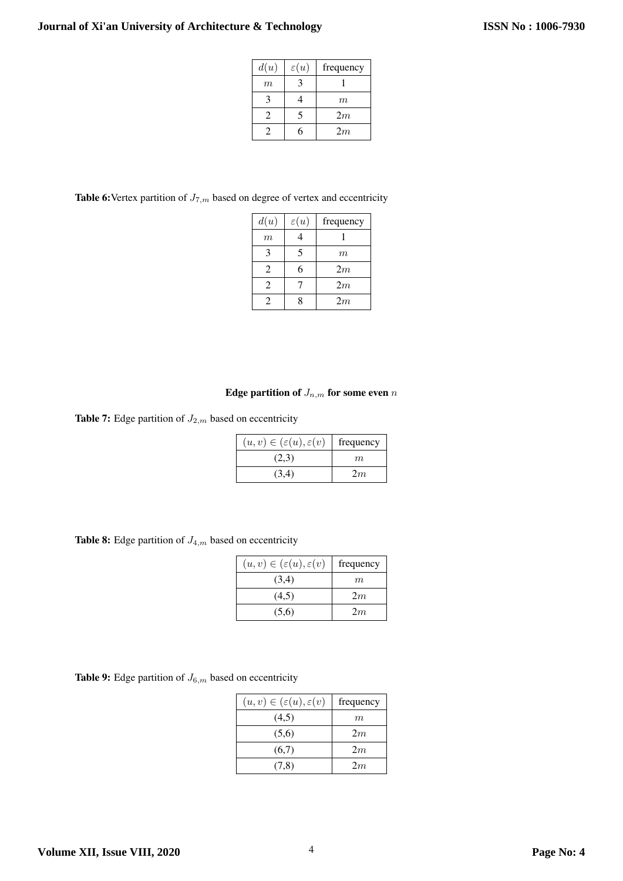| d(u) | $\varepsilon(u)$ | frequency |
|------|------------------|-----------|
| m    |                  |           |
|      |                  | m         |
| 7    |                  | 2m        |
|      |                  | 2m        |

**Table 6:** Vertex partition of  $J_{7,m}$  based on degree of vertex and eccentricity

| d(u)                        | $\varepsilon(u)$ | frequency |
|-----------------------------|------------------|-----------|
| $\boldsymbol{m}$            |                  |           |
| 3                           | 5                | m         |
| $\mathfrak{D}$              | 6                | 2m        |
| 2                           |                  | 2m        |
| $\mathcal{D}_{\mathcal{L}}$ |                  | 2m        |

## Edge partition of  $J_{n,m}$  for some even  $n$

**Table 7:** Edge partition of  $J_{2,m}$  based on eccentricity

| $(u, v) \in (\varepsilon(u), \varepsilon(v))$ | frequency |
|-----------------------------------------------|-----------|
| (2,3)                                         | m         |
| (3,4)                                         | 2m        |

**Table 8:** Edge partition of  $J_{4,m}$  based on eccentricity

| $(u, v) \in (\varepsilon(u), \varepsilon(v))$ | frequency |
|-----------------------------------------------|-----------|
| (3,4)                                         | m         |
| (4,5)                                         | 2m        |
| (5,6)                                         | 2m        |

**Table 9:** Edge partition of  $J_{6,m}$  based on eccentricity

| $(u, v) \in (\varepsilon(u), \varepsilon(v))$ | frequency |
|-----------------------------------------------|-----------|
| (4,5)                                         | m         |
| (5,6)                                         | 2m        |
| (6,7)                                         | 2m        |
| (7,8)                                         | 2m        |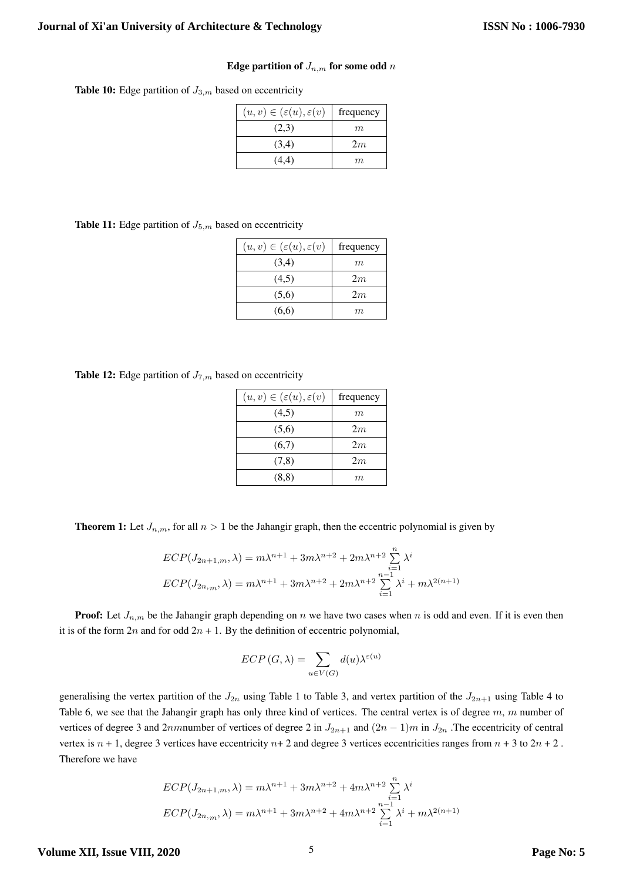#### Edge partition of  $J_{n,m}$  for some odd n

**Table 10:** Edge partition of  $J_{3,m}$  based on eccentricity

| $(u, v) \in (\varepsilon(u), \varepsilon(v))$ | frequency |
|-----------------------------------------------|-----------|
| (2,3)                                         | m         |
| (3,4)                                         | 2m        |
| (4,4)                                         | m         |

**Table 11:** Edge partition of  $J_{5,m}$  based on eccentricity

| $(u, v) \in (\varepsilon(u), \varepsilon(v))$ | frequency |
|-----------------------------------------------|-----------|
| (3,4)                                         | m         |
| (4,5)                                         | 2m        |
| (5,6)                                         | 2m        |
| (6,6)                                         | m         |

**Table 12:** Edge partition of  $J_{7,m}$  based on eccentricity

| $(u, v) \in (\varepsilon(u), \varepsilon(v))$ | frequency |
|-----------------------------------------------|-----------|
| (4,5)                                         | m         |
| (5,6)                                         | 2m        |
| (6,7)                                         | 2m        |
| (7,8)                                         | 2m        |
| (8,8)                                         | m         |

**Theorem 1:** Let  $J_{n,m}$ , for all  $n > 1$  be the Jahangir graph, then the eccentric polynomial is given by

$$
ECP(J_{2n+1,m}, \lambda) = m\lambda^{n+1} + 3m\lambda^{n+2} + 2m\lambda^{n+2} \sum_{i=1}^{n} \lambda^{i}
$$
  

$$
ECP(J_{2n,m}, \lambda) = m\lambda^{n+1} + 3m\lambda^{n+2} + 2m\lambda^{n+2} \sum_{i=1}^{n-1} \lambda^{i} + m\lambda^{2(n+1)}
$$

**Proof:** Let  $J_{n,m}$  be the Jahangir graph depending on n we have two cases when n is odd and even. If it is even then it is of the form  $2n$  and for odd  $2n + 1$ . By the definition of eccentric polynomial,

$$
ECP(G, \lambda) = \sum_{u \in V(G)} d(u)\lambda^{\varepsilon(u)}
$$

generalising the vertex partition of the  $J_{2n}$  using Table 1 to Table 3, and vertex partition of the  $J_{2n+1}$  using Table 4 to Table 6, we see that the Jahangir graph has only three kind of vertices. The central vertex is of degree  $m$ ,  $m$  number of vertices of degree 3 and 2nmnumber of vertices of degree 2 in  $J_{2n+1}$  and  $(2n-1)m$  in  $J_{2n}$ . The eccentricity of central vertex is  $n + 1$ , degree 3 vertices have eccentricity  $n + 2$  and degree 3 vertices eccentricities ranges from  $n + 3$  to  $2n + 2$ . Therefore we have

$$
ECP(J_{2n+1,m}, \lambda) = m\lambda^{n+1} + 3m\lambda^{n+2} + 4m\lambda^{n+2} \sum_{i=1}^{n} \lambda^{i}
$$
  

$$
ECP(J_{2n,m}, \lambda) = m\lambda^{n+1} + 3m\lambda^{n+2} + 4m\lambda^{n+2} \sum_{i=1}^{n-1} \lambda^{i} + m\lambda^{2(n+1)}
$$

**Volume XII, Issue VIII, 2020**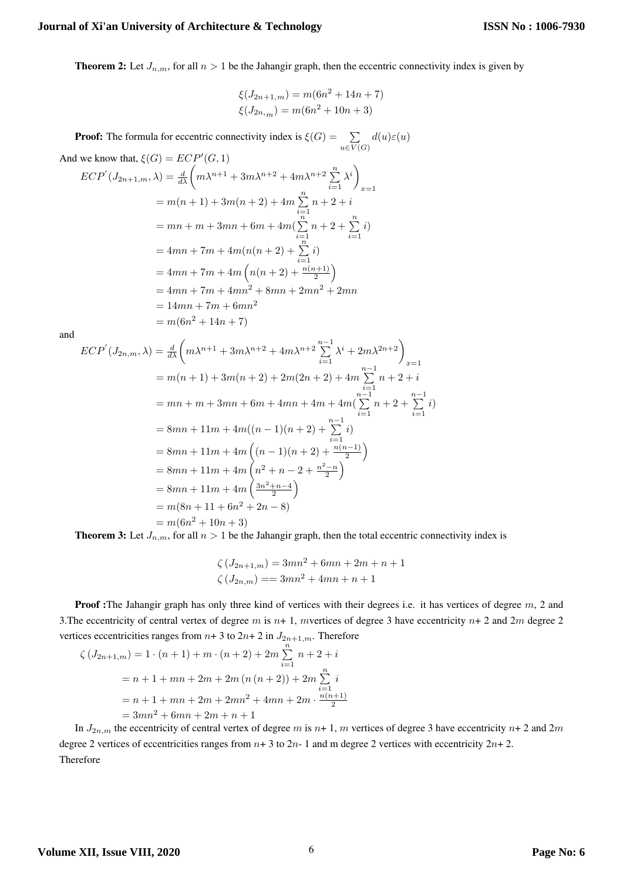**Theorem 2:** Let  $J_{n,m}$ , for all  $n > 1$  be the Jahangir graph, then the eccentric connectivity index is given by

$$
\xi(J_{2n+1,m}) = m(6n^2 + 14n + 7)
$$
  

$$
\xi(J_{2n,m}) = m(6n^2 + 10n + 3)
$$

**Proof:** The formula for eccentric connectivity index is  $\xi(G) = \sum$  $u\in V(G)$  $d(u)\varepsilon(u)$ 

And we know that, 
$$
\xi(G) = ECP'(G, 1)
$$
  
\n
$$
ECP'(J_{2n+1,m}, \lambda) = \frac{d}{d\lambda} \left( m\lambda^{n+1} + 3m\lambda^{n+2} + 4m\lambda^{n+2} \sum_{i=1}^{n} \lambda^{i} \right)_{x=1}
$$
\n
$$
= m(n+1) + 3m(n+2) + 4m \sum_{i=1}^{n} n + 2 + i
$$
\n
$$
= mn + m + 3mn + 6m + 4m \left( \sum_{i=1}^{n} n + 2 + \sum_{i=1}^{n} i \right)
$$
\n
$$
= 4mn + 7m + 4m \left( n(n+2) + \sum_{i=1}^{n} i \right)
$$
\n
$$
= 4mn + 7m + 4m \left( n(n+2) + \frac{n(n+1)}{2} \right)
$$
\n
$$
= 4mn + 7m + 4mn^{2} + 8mn + 2mn^{2} + 2mn
$$
\n
$$
= 14mn + 7m + 6mn^{2}
$$
\n
$$
= m(6n^{2} + 14n + 7)
$$

and

$$
ECP'(J_{2n,m},\lambda) = \frac{d}{d\lambda} \left( m\lambda^{n+1} + 3m\lambda^{n+2} + 4m\lambda^{n+2} \sum_{i=1}^{n-1} \lambda^i + 2m\lambda^{2n+2} \right)_{x=1}
$$
  
=  $m(n+1) + 3m(n+2) + 2m(2n+2) + 4m \sum_{i=1}^{n-1} n + 2 + i$   
=  $mn + m + 3mn + 6m + 4mn + 4m + 4m(\sum_{i=1}^{n-1} n + 2 + \sum_{i=1}^{n-1} i)$   
=  $8mn + 11m + 4m((n-1)(n+2) + \sum_{i=1}^{n-1} i)$   
=  $8mn + 11m + 4m\left( (n-1)(n+2) + \frac{n(n-1)}{2} \right)$   
=  $8mn + 11m + 4m\left( n^2 + n - 2 + \frac{n^2 - n}{2} \right)$   
=  $8mn + 11m + 4m\left( \frac{3n^2 + n - 4}{2} \right)$   
=  $m(8n + 11 + 6n^2 + 2n - 8)$   
=  $m(6n^2 + 10n + 3)$   
Then we have belong to the behavior graph, then the total geometric complex

**Theorem 3:** Let  $J_{n,m}$ , for all  $n > 1$  be the Jahangir graph, then the total eccentric connectivity index is

$$
\zeta\left(J_{2n+1,m}\right) = 3mn^2 + 6mn + 2m + n + 1
$$
  

$$
\zeta\left(J_{2n,m}\right) = 3mn^2 + 4mn + n + 1
$$

**Proof :**The Jahangir graph has only three kind of vertices with their degrees i.e. it has vertices of degree m, 2 and 3. The eccentricity of central vertex of degree m is  $n+1$ , mvertices of degree 3 have eccentricity  $n+2$  and  $2m$  degree 2 vertices eccentricities ranges from  $n+3$  to  $2n+2$  in  $J_{2n+1,m}$ . Therefore

$$
\zeta \left( J_{2n+1,m} \right) = 1 \cdot (n+1) + m \cdot (n+2) + 2m \sum_{i=1}^{n} n + 2 + i
$$
  
=  $n + 1 + mn + 2m + 2m (n (n+2)) + 2m \sum_{i=1}^{n} i$   
=  $n + 1 + mn + 2m + 2mn^2 + 4mn + 2m \cdot \frac{n(n+1)}{2}$   
=  $3mn^2 + 6mn + 2m + n + 1$ 

In  $J_{2n,m}$  the eccentricity of central vertex of degree m is  $n+1$ , m vertices of degree 3 have eccentricity  $n+2$  and  $2m$ degree 2 vertices of eccentricities ranges from  $n+3$  to  $2n-1$  and m degree 2 vertices with eccentricity  $2n+2$ . Therefore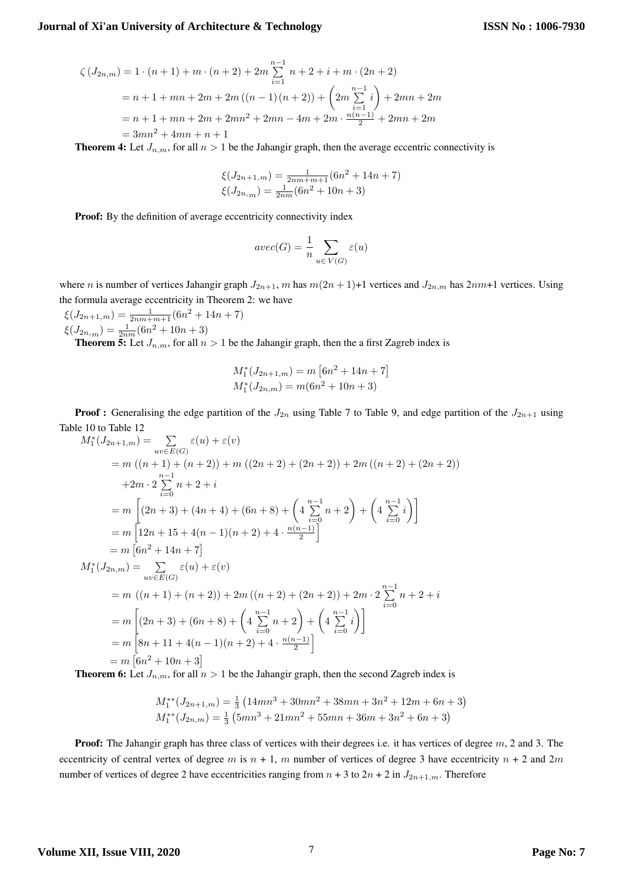$$
\zeta (J_{2n,m}) = 1 \cdot (n+1) + m \cdot (n+2) + 2m \sum_{i=1}^{n-1} n + 2 + i + m \cdot (2n+2)
$$
  
=  $n+1 + mn + 2m + 2m ((n-1)(n+2)) + \left( 2m \sum_{i=1}^{n-1} i \right) + 2mn + 2m$   
=  $n+1 + mn + 2m + 2mn^2 + 2mn - 4m + 2m \cdot \frac{n(n-1)}{2} + 2mn + 2m$   
=  $3mn^2 + 4mn + n + 1$ 

**Theorem 4:** Let  $J_{n,m}$ , for all  $n > 1$  be the Jahangir graph, then the average eccentric connectivity is

$$
\xi(J_{2n+1,m}) = \frac{1}{2nm+m+1}(6n^2 + 14n + 7)
$$
  

$$
\xi(J_{2n,m}) = \frac{1}{2nm}(6n^2 + 10n + 3)
$$

Proof: By the definition of average eccentricity connectivity index

$$
avec(G)=\frac{1}{n}\sum_{u\in V(G)}\varepsilon(u)
$$

where n is number of vertices Jahangir graph  $J_{2n+1}$ , m has  $m(2n+1)+1$  vertices and  $J_{2n,m}$  has  $2nm+1$  vertices. Using the formula average eccentricity in Theorem 2: we have

 $\xi(J_{2n+1,m}) = \frac{1}{2nm+m+1}(6n^2+14n+7)$  $\xi(J_{2n,m}) = \frac{1}{2nm}(6n^2 + 10n + 3)$ 

**Theorem 5:** Let  $J_{n,m}$ , for all  $n > 1$  be the Jahangir graph, then the a first Zagreb index is

$$
M_1^*(J_{2n+1,m}) = m [6n^2 + 14n + 7]
$$
  

$$
M_1^*(J_{2n,m}) = m(6n^2 + 10n + 3)
$$

**Proof :** Generalising the edge partition of the  $J_{2n}$  using Table 7 to Table 9, and edge partition of the  $J_{2n+1}$  using Table 10 to Table 12

$$
M_1^*(J_{2n+1,m}) = \sum_{uv \in E(G)} \varepsilon(u) + \varepsilon(v)
$$
  
=  $m ((n + 1) + (n + 2)) + m ((2n + 2) + (2n + 2)) + 2m ((n + 2) + (2n + 2))$   
+  $2m \cdot 2 \sum_{i=0}^{n-1} n + 2 + i$   
=  $m \left[ (2n + 3) + (4n + 4) + (6n + 8) + \left( 4 \sum_{i=0}^{n-1} n + 2 \right) + \left( 4 \sum_{i=0}^{n-1} i \right) \right]$   
=  $m \left[ 12n + 15 + 4(n - 1)(n + 2) + 4 \cdot \frac{n(n-1)}{2} \right]$   
=  $m \left[ 6n^2 + 14n + 7 \right]$   

$$
M_1^*(J_{2n,m}) = \sum_{uv \in E(G)} \varepsilon(u) + \varepsilon(v)
$$
  
=  $m ((n + 1) + (n + 2)) + 2m ((n + 2) + (2n + 2)) + 2m \cdot 2 \sum_{i=0}^{n-1} n + 2 + i$   
=  $m \left[ (2n + 3) + (6n + 8) + \left( 4 \sum_{i=0}^{n-1} n + 2 \right) + \left( 4 \sum_{i=0}^{n-1} i \right) \right]$   
=  $m \left[ 8n + 11 + 4(n - 1)(n + 2) + 4 \cdot \frac{n(n-1)}{2} \right]$   
=  $m \left[ 6n^2 + 10n + 3 \right]$ 

**Theorem 6:** Let  $J_{n,m}$ , for all  $n > 1$  be the Jahangir graph, then the second Zagreb index is

$$
M_1^{**}(J_{2n+1,m}) = \frac{1}{3} \left( 14mn^3 + 30mn^2 + 38mn + 3n^2 + 12m + 6n + 3 \right)
$$
  

$$
M_1^{**}(J_{2n,m}) = \frac{1}{3} \left( 5mn^3 + 21mn^2 + 55mn + 36m + 3n^2 + 6n + 3 \right)
$$

**Proof:** The Jahangir graph has three class of vertices with their degrees i.e. it has vertices of degree  $m$ , 2 and 3. The eccentricity of central vertex of degree m is  $n + 1$ , m number of vertices of degree 3 have eccentricity  $n + 2$  and  $2m$ number of vertices of degree 2 have eccentricities ranging from  $n + 3$  to  $2n + 2$  in  $J_{2n+1,m}$ . Therefore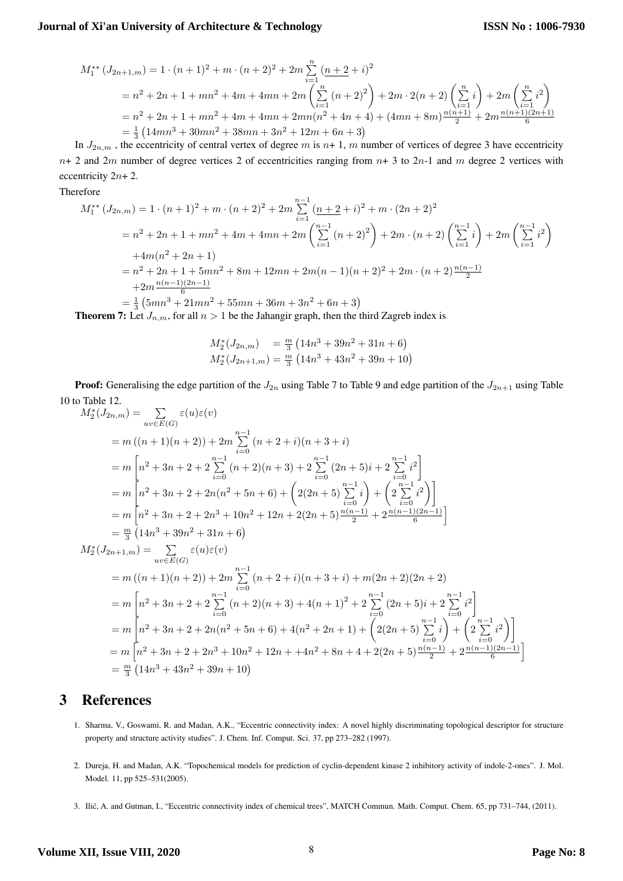$$
M_{1}^{**} (J_{2n+1,m}) = 1 \cdot (n+1)^{2} + m \cdot (n+2)^{2} + 2m \sum_{i=1}^{n} \left(\frac{n+2+i}{n}\right)^{2}
$$
  
=  $n^{2} + 2n + 1 + mn^{2} + 4m + 4mn + 2m \left(\sum_{i=1}^{n} (n+2)^{2}\right) + 2m \cdot 2(n+2) \left(\sum_{i=1}^{n} i\right) + 2m \left(\sum_{i=1}^{n} i^{2}\right)$   
=  $n^{2} + 2n + 1 + mn^{2} + 4m + 4mn + 2mn(n^{2} + 4n + 4) + (4mn + 8m) \frac{n(n+1)}{2} + 2m \frac{n(n+1)(2n+1)}{6}$   
=  $\frac{1}{3} (14mn^{3} + 30mn^{2} + 38mn + 3n^{2} + 12m + 6n + 3)$ 

In  $J_{2n,m}$ , the eccentricity of central vertex of degree m is  $n+1$ , m number of vertices of degree 3 have eccentricity  $n+2$  and  $2m$  number of degree vertices 2 of eccentricities ranging from  $n+3$  to  $2n-1$  and m degree 2 vertices with eccentricity 2n+ 2.

Therefore

$$
M_{1}^{**} (J_{2n,m}) = 1 \cdot (n+1)^{2} + m \cdot (n+2)^{2} + 2m \sum_{i=1}^{n-1} \frac{(n+2+i)^{2} + m \cdot (2n+2)^{2}}{(n+2+i)^{2} + 2m \cdot (n+2)^{2}}
$$
  
=  $n^{2} + 2n + 1 + mn^{2} + 4m + 4mn + 2m \left( \sum_{i=1}^{n-1} (n+2)^{2} \right) + 2m \cdot (n+2) \left( \sum_{i=1}^{n-1} i \right) + 2m \left( \sum_{i=1}^{n-1} i^{2} \right)$   
+  $4m(n^{2} + 2n + 1)$   
=  $n^{2} + 2n + 1 + 5mn^{2} + 8m + 12mn + 2m(n-1)(n+2)^{2} + 2m \cdot (n+2) \frac{n(n-1)}{2}$   
+  $2m \frac{n(n-1)(2n-1)}{6}$   
=  $\frac{1}{3} (5mn^{3} + 21mn^{2} + 55mn + 36m + 3n^{2} + 6n + 3)$ 

**Theorem 7:** Let  $J_{n,m}$ , for all  $n > 1$  be the Jahangir graph, then the third Zagreb index is

$$
M_2^*(J_{2n,m}) = \frac{m}{3} \left( 14n^3 + 39n^2 + 31n + 6 \right)
$$
  

$$
M_2^*(J_{2n+1,m}) = \frac{m}{3} \left( 14n^3 + 43n^2 + 39n + 10 \right)
$$

**Proof:** Generalising the edge partition of the  $J_{2n}$  using Table 7 to Table 9 and edge partition of the  $J_{2n+1}$  using Table 10 to Table 12.

$$
M_{2}^{*}(J_{2n,m}) = \sum_{uv \in E(G)} \varepsilon(u)\varepsilon(v)
$$
  
\n
$$
= m((n + 1)(n + 2)) + 2m \sum_{i=0}^{n-1} (n + 2 + i)(n + 3 + i)
$$
  
\n
$$
= m \left[ n^{2} + 3n + 2 + 2 \sum_{i=0}^{n-1} (n + 2)(n + 3) + 2 \sum_{i=0}^{n-1} (2n + 5)i + 2 \sum_{i=0}^{n-1} i^{2} \right]
$$
  
\n
$$
= m \left[ n^{2} + 3n + 2 + 2n(n^{2} + 5n + 6) + \left( 2(2n + 5) \sum_{i=0}^{n-1} i \right) + \left( 2 \sum_{i=0}^{n-1} i^{2} \right) \right]
$$
  
\n
$$
= m \left[ n^{2} + 3n + 2 + 2n^{3} + 10n^{2} + 12n + 2(2n + 5) \frac{n(n-1)}{2} + 2 \frac{n(n-1)(2n-1)}{6} \right]
$$
  
\n
$$
= \frac{m}{3} \left( 14n^{3} + 39n^{2} + 31n + 6 \right)
$$
  
\n
$$
M_{2}^{*}(J_{2n+1,m}) = \sum_{uv \in E(G)} \varepsilon(u)\varepsilon(v)
$$
  
\n
$$
= m \left( (n + 1)(n + 2) \right) + 2m \sum_{i=0}^{n-1} (n + 2 + i)(n + 3 + i) + m(2n + 2)(2n + 2)
$$
  
\n
$$
= m \left[ n^{2} + 3n + 2 + 2 \sum_{i=0}^{n-1} (n + 2)(n + 3) + 4(n + 1)^{2} + 2 \sum_{i=0}^{n-1} (2n + 5)i + 2 \sum_{i=0}^{n-1} i^{2} \right]
$$
  
\n
$$
= m \left[ n^{2} + 3n + 2 + 2n(n^{2} + 5n + 6) + 4(n^{2} + 2n + 1) + \left( 2(2n + 5) \sum_{i=0}^{n-1} i \right) + \left( 2 \sum_{i=0}^{n-1} i
$$

# 3 References

- 1. Sharma, V., Goswami, R. and Madan, A.K., "Eccentric connectivity index: A novel highly discriminating topological descriptor for structure property and structure activity studies". J. Chem. Inf. Comput. Sci. 37, pp 273–282 (1997).
- 2. Dureja, H. and Madan, A.K. "Topochemical models for prediction of cyclin-dependent kinase 2 inhibitory activity of indole-2-ones". J. Mol. Model. 11, pp 525–531(2005).
- 3. Ilic, A. and Gutman, I., "Eccentric connectivity index of chemical trees", MATCH Commun. Math. Comput. Chem. 65, pp 731–744, (2011). ´